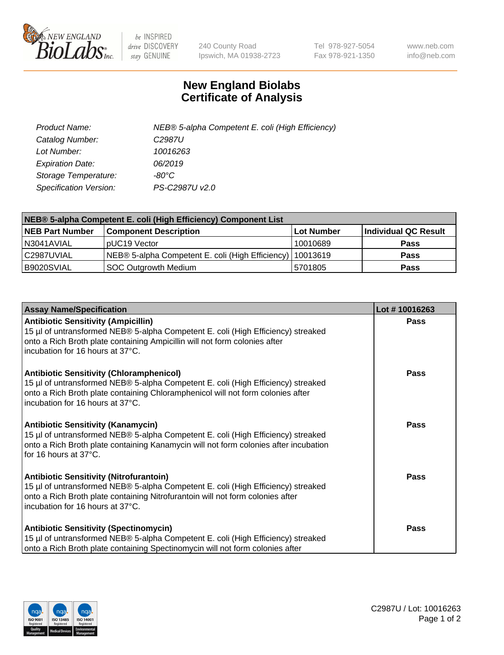

 $be$  INSPIRED drive DISCOVERY stay GENUINE

240 County Road Ipswich, MA 01938-2723 Tel 978-927-5054 Fax 978-921-1350 www.neb.com info@neb.com

## **New England Biolabs Certificate of Analysis**

| Product Name:                 | NEB® 5-alpha Competent E. coli (High Efficiency) |
|-------------------------------|--------------------------------------------------|
| Catalog Number:               | C <sub>2987</sub> U                              |
| Lot Number:                   | 10016263                                         |
| <b>Expiration Date:</b>       | 06/2019                                          |
| Storage Temperature:          | -80°C                                            |
| <b>Specification Version:</b> | PS-C2987U v2.0                                   |

| NEB® 5-alpha Competent E. coli (High Efficiency) Component List |                                                             |            |                      |  |
|-----------------------------------------------------------------|-------------------------------------------------------------|------------|----------------------|--|
| <b>NEB Part Number</b>                                          | <b>Component Description</b>                                | Lot Number | Individual QC Result |  |
| N3041AVIAL                                                      | pUC19 Vector                                                | 10010689   | <b>Pass</b>          |  |
| C2987UVIAL                                                      | NEB® 5-alpha Competent E. coli (High Efficiency)   10013619 |            | <b>Pass</b>          |  |
| B9020SVIAL                                                      | <b>SOC Outgrowth Medium</b>                                 | 5701805    | <b>Pass</b>          |  |

| <b>Assay Name/Specification</b>                                                                                                                                                                                                                            | Lot #10016263 |
|------------------------------------------------------------------------------------------------------------------------------------------------------------------------------------------------------------------------------------------------------------|---------------|
| <b>Antibiotic Sensitivity (Ampicillin)</b><br>15 µl of untransformed NEB® 5-alpha Competent E. coli (High Efficiency) streaked<br>onto a Rich Broth plate containing Ampicillin will not form colonies after<br>incubation for 16 hours at 37°C.           | Pass          |
| <b>Antibiotic Sensitivity (Chloramphenicol)</b><br>15 µl of untransformed NEB® 5-alpha Competent E. coli (High Efficiency) streaked<br>onto a Rich Broth plate containing Chloramphenicol will not form colonies after<br>incubation for 16 hours at 37°C. | Pass          |
| Antibiotic Sensitivity (Kanamycin)<br>15 µl of untransformed NEB® 5-alpha Competent E. coli (High Efficiency) streaked<br>onto a Rich Broth plate containing Kanamycin will not form colonies after incubation<br>for 16 hours at 37°C.                    | Pass          |
| <b>Antibiotic Sensitivity (Nitrofurantoin)</b><br>15 µl of untransformed NEB® 5-alpha Competent E. coli (High Efficiency) streaked<br>onto a Rich Broth plate containing Nitrofurantoin will not form colonies after<br>incubation for 16 hours at 37°C.   | <b>Pass</b>   |
| <b>Antibiotic Sensitivity (Spectinomycin)</b><br>15 µl of untransformed NEB® 5-alpha Competent E. coli (High Efficiency) streaked<br>onto a Rich Broth plate containing Spectinomycin will not form colonies after                                         | Pass          |